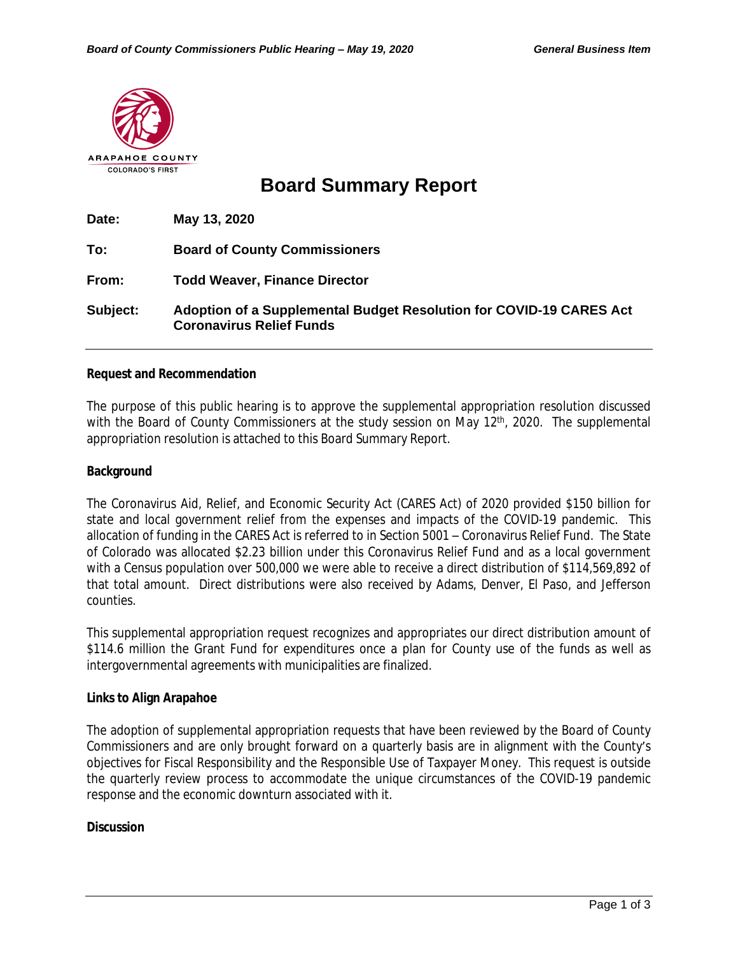

# **Board Summary Report**

| Date:    | May 13, 2020                                                                                           |
|----------|--------------------------------------------------------------------------------------------------------|
| To:      | <b>Board of County Commissioners</b>                                                                   |
| From:    | <b>Todd Weaver, Finance Director</b>                                                                   |
| Subject: | Adoption of a Supplemental Budget Resolution for COVID-19 CARES Act<br><b>Coronavirus Relief Funds</b> |

#### **Request and Recommendation**

The purpose of this public hearing is to approve the supplemental appropriation resolution discussed with the Board of County Commissioners at the study session on May 12<sup>th</sup>, 2020. The supplemental appropriation resolution is attached to this Board Summary Report.

#### **Background**

The Coronavirus Aid, Relief, and Economic Security Act (CARES Act) of 2020 provided \$150 billion for state and local government relief from the expenses and impacts of the COVID-19 pandemic. This allocation of funding in the CARES Act is referred to in Section 5001 – Coronavirus Relief Fund. The State of Colorado was allocated \$2.23 billion under this Coronavirus Relief Fund and as a local government with a Census population over 500,000 we were able to receive a direct distribution of \$114,569,892 of that total amount. Direct distributions were also received by Adams, Denver, El Paso, and Jefferson counties.

This supplemental appropriation request recognizes and appropriates our direct distribution amount of \$114.6 million the Grant Fund for expenditures once a plan for County use of the funds as well as intergovernmental agreements with municipalities are finalized.

#### **Links to Align Arapahoe**

The adoption of supplemental appropriation requests that have been reviewed by the Board of County Commissioners and are only brought forward on a quarterly basis are in alignment with the County's objectives for Fiscal Responsibility and the Responsible Use of Taxpayer Money. This request is outside the quarterly review process to accommodate the unique circumstances of the COVID-19 pandemic response and the economic downturn associated with it.

## **Discussion**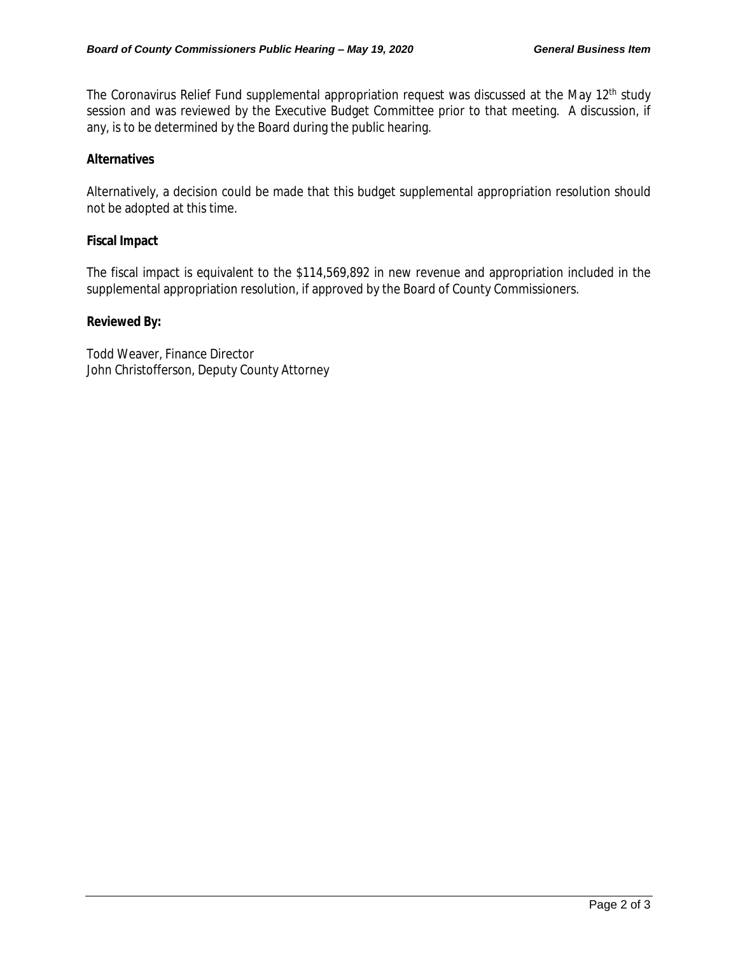The Coronavirus Relief Fund supplemental appropriation request was discussed at the May 12<sup>th</sup> study session and was reviewed by the Executive Budget Committee prior to that meeting. A discussion, if any, is to be determined by the Board during the public hearing.

## **Alternatives**

Alternatively, a decision could be made that this budget supplemental appropriation resolution should not be adopted at this time.

## **Fiscal Impact**

The fiscal impact is equivalent to the \$114,569,892 in new revenue and appropriation included in the supplemental appropriation resolution, if approved by the Board of County Commissioners.

## **Reviewed By:**

Todd Weaver, Finance Director John Christofferson, Deputy County Attorney